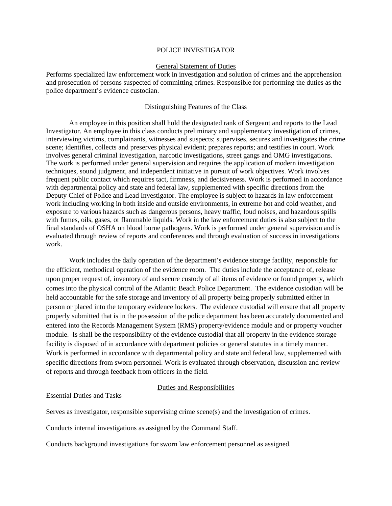#### POLICE INVESTIGATOR

#### General Statement of Duties

Performs specialized law enforcement work in investigation and solution of crimes and the apprehension and prosecution of persons suspected of committing crimes. Responsible for performing the duties as the police department's evidence custodian.

## Distinguishing Features of the Class

An employee in this position shall hold the designated rank of Sergeant and reports to the Lead Investigator. An employee in this class conducts preliminary and supplementary investigation of crimes, interviewing victims, complainants, witnesses and suspects; supervises, secures and investigates the crime scene; identifies, collects and preserves physical evident; prepares reports; and testifies in court. Work involves general criminal investigation, narcotic investigations, street gangs and OMG investigations. The work is performed under general supervision and requires the application of modern investigation techniques, sound judgment, and independent initiative in pursuit of work objectives. Work involves frequent public contact which requires tact, firmness, and decisiveness. Work is performed in accordance with departmental policy and state and federal law, supplemented with specific directions from the Deputy Chief of Police and Lead Investigator. The employee is subject to hazards in law enforcement work including working in both inside and outside environments, in extreme hot and cold weather, and exposure to various hazards such as dangerous persons, heavy traffic, loud noises, and hazardous spills with fumes, oils, gases, or flammable liquids. Work in the law enforcement duties is also subject to the final standards of OSHA on blood borne pathogens. Work is performed under general supervision and is evaluated through review of reports and conferences and through evaluation of success in investigations work.

Work includes the daily operation of the department's evidence storage facility, responsible for the efficient, methodical operation of the evidence room. The duties include the acceptance of, release upon proper request of, inventory of and secure custody of all items of evidence or found property, which comes into the physical control of the Atlantic Beach Police Department. The evidence custodian will be held accountable for the safe storage and inventory of all property being properly submitted either in person or placed into the temporary evidence lockers. The evidence custodial will ensure that all property properly submitted that is in the possession of the police department has been accurately documented and entered into the Records Management System (RMS) property/evidence module and or property voucher module. Is shall be the responsibility of the evidence custodial that all property in the evidence storage facility is disposed of in accordance with department policies or general statutes in a timely manner. Work is performed in accordance with departmental policy and state and federal law, supplemented with specific directions from sworn personnel. Work is evaluated through observation, discussion and review of reports and through feedback from officers in the field.

### Duties and Responsibilities

### Essential Duties and Tasks

Serves as investigator, responsible supervising crime scene(s) and the investigation of crimes.

Conducts internal investigations as assigned by the Command Staff.

Conducts background investigations for sworn law enforcement personnel as assigned.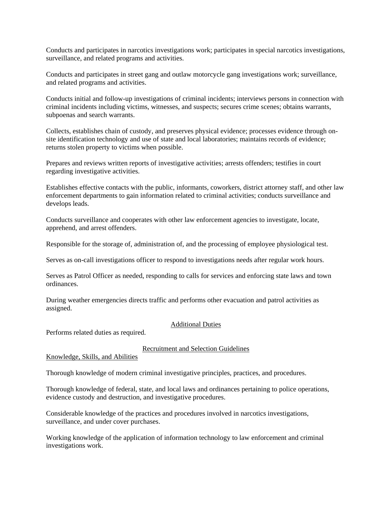Conducts and participates in narcotics investigations work; participates in special narcotics investigations, surveillance, and related programs and activities.

Conducts and participates in street gang and outlaw motorcycle gang investigations work; surveillance, and related programs and activities.

Conducts initial and follow-up investigations of criminal incidents; interviews persons in connection with criminal incidents including victims, witnesses, and suspects; secures crime scenes; obtains warrants, subpoenas and search warrants.

Collects, establishes chain of custody, and preserves physical evidence; processes evidence through onsite identification technology and use of state and local laboratories; maintains records of evidence; returns stolen property to victims when possible.

Prepares and reviews written reports of investigative activities; arrests offenders; testifies in court regarding investigative activities.

Establishes effective contacts with the public, informants, coworkers, district attorney staff, and other law enforcement departments to gain information related to criminal activities; conducts surveillance and develops leads.

Conducts surveillance and cooperates with other law enforcement agencies to investigate, locate, apprehend, and arrest offenders.

Responsible for the storage of, administration of, and the processing of employee physiological test.

Serves as on-call investigations officer to respond to investigations needs after regular work hours.

Serves as Patrol Officer as needed, responding to calls for services and enforcing state laws and town ordinances.

During weather emergencies directs traffic and performs other evacuation and patrol activities as assigned.

## Additional Duties

Performs related duties as required.

### Recruitment and Selection Guidelines

### Knowledge, Skills, and Abilities

Thorough knowledge of modern criminal investigative principles, practices, and procedures.

Thorough knowledge of federal, state, and local laws and ordinances pertaining to police operations, evidence custody and destruction, and investigative procedures.

Considerable knowledge of the practices and procedures involved in narcotics investigations, surveillance, and under cover purchases.

Working knowledge of the application of information technology to law enforcement and criminal investigations work.